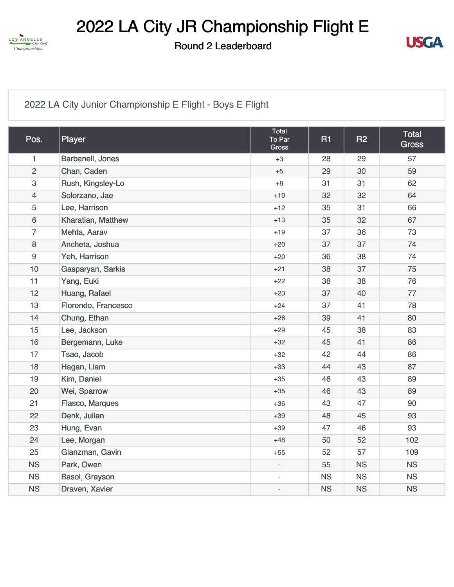

2022 LA City JR Championship Flight E

Round 2 Leaderboard



[2022 LA City Junior Championship E Flight - Boys E Flight](https://cdn2.golfgenius.com/v2tournaments/8349722666436930786?called_from=&round_index=2)

| Pos.                      | Player              | Total<br>To Par<br>Gross | <b>R1</b> | R2        | Total<br><b>Gross</b> |
|---------------------------|---------------------|--------------------------|-----------|-----------|-----------------------|
| $\mathbf{1}$              | Barbanell, Jones    | $+3$                     | 28        | 29        | 57                    |
| $\overline{2}$            | Chan, Caden         | $+5$                     | 29        | 30        | 59                    |
| $\ensuremath{\mathsf{3}}$ | Rush, Kingsley-Lo   | $+8$                     | 31        | 31        | 62                    |
| $\overline{4}$            | Solorzano, Jae      | $+10$                    | 32        | 32        | 64                    |
| $\sqrt{5}$                | Lee, Harrison       | $+12$                    | 35        | 31        | 66                    |
| $\,6\,$                   | Kharatian, Matthew  | $+13$                    | 35        | 32        | 67                    |
| $\overline{7}$            | Mehta, Aarav        | $+19$                    | 37        | 36        | 73                    |
| $\,8\,$                   | Ancheta, Joshua     | $+20$                    | 37        | 37        | 74                    |
| $\boldsymbol{9}$          | Yeh, Harrison       | $+20$                    | 36        | 38        | 74                    |
| 10                        | Gasparyan, Sarkis   | $+21$                    | 38        | 37        | 75                    |
| 11                        | Yang, Euki          | $+22$                    | 38        | 38        | 76                    |
| 12                        | Huang, Rafael       | $+23$                    | 37        | 40        | 77                    |
| 13                        | Florendo, Francesco | $+24$                    | 37        | 41        | 78                    |
| 14                        | Chung, Ethan        | $+26$                    | 39        | 41        | 80                    |
| 15                        | Lee, Jackson        | $+29$                    | 45        | 38        | 83                    |
| 16                        | Bergemann, Luke     | $+32$                    | 45        | 41        | 86                    |
| 17                        | Tsao, Jacob         | $+32$                    | 42        | 44        | 86                    |
| 18                        | Hagan, Liam         | $+33$                    | 44        | 43        | 87                    |
| 19                        | Kim, Daniel         | $+35$                    | 46        | 43        | 89                    |
| 20                        | Wei, Sparrow        | $+35$                    | 46        | 43        | 89                    |
| 21                        | Flasco, Marques     | $+36$                    | 43        | 47        | 90                    |
| 22                        | Denk, Julian        | $+39$                    | 48        | 45        | 93                    |
| 23                        | Hung, Evan          | $+39$                    | 47        | 46        | 93                    |
| 24                        | Lee, Morgan         | $+48$                    | 50        | 52        | 102                   |
| 25                        | Glanzman, Gavin     | $+55$                    | 52        | 57        | 109                   |
| <b>NS</b>                 | Park, Owen          | $\blacksquare$           | 55        | <b>NS</b> | <b>NS</b>             |
| <b>NS</b>                 | Basol, Grayson      |                          | <b>NS</b> | <b>NS</b> | <b>NS</b>             |
| <b>NS</b>                 | Draven, Xavier      | ÷,                       | <b>NS</b> | <b>NS</b> | <b>NS</b>             |